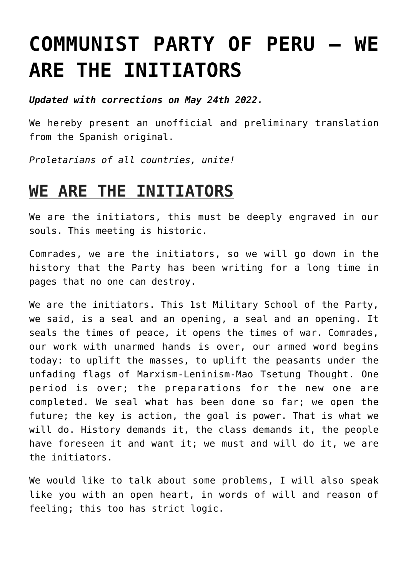# **[COMMUNIST PARTY OF PERU – WE](https://ci-ic.org/blog/2022/05/17/communist-party-of-peru-we-are-the-initiators/) [ARE THE INITIATORS](https://ci-ic.org/blog/2022/05/17/communist-party-of-peru-we-are-the-initiators/)**

*Updated with corrections on May 24th 2022.*

We hereby present an unofficial and preliminary translation from the Spanish original.

*Proletarians of all countries, unite!*

## **WE ARE THE INITIATORS**

We are the initiators, this must be deeply engraved in our souls. This meeting is historic.

Comrades, we are the initiators, so we will go down in the history that the Party has been writing for a long time in pages that no one can destroy.

We are the initiators. This 1st Military School of the Party, we said, is a seal and an opening, a seal and an opening. It seals the times of peace, it opens the times of war. Comrades, our work with unarmed hands is over, our armed word begins today: to uplift the masses, to uplift the peasants under the unfading flags of Marxism-Leninism-Mao Tsetung Thought. One period is over; the preparations for the new one are completed. We seal what has been done so far; we open the future; the key is action, the goal is power. That is what we will do. History demands it, the class demands it, the people have foreseen it and want it; we must and will do it, we are the initiators.

We would like to talk about some problems, I will also speak like you with an open heart, in words of will and reason of feeling; this too has strict logic.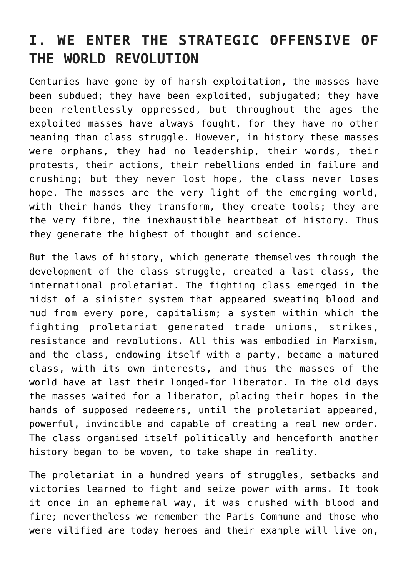### **I. WE ENTER THE STRATEGIC OFFENSIVE OF THE WORLD REVOLUTION**

Centuries have gone by of harsh exploitation, the masses have been subdued; they have been exploited, subjugated; they have been relentlessly oppressed, but throughout the ages the exploited masses have always fought, for they have no other meaning than class struggle. However, in history these masses were orphans, they had no leadership, their words, their protests, their actions, their rebellions ended in failure and crushing; but they never lost hope, the class never loses hope. The masses are the very light of the emerging world, with their hands they transform, they create tools; they are the very fibre, the inexhaustible heartbeat of history. Thus they generate the highest of thought and science.

But the laws of history, which generate themselves through the development of the class struggle, created a last class, the international proletariat. The fighting class emerged in the midst of a sinister system that appeared sweating blood and mud from every pore, capitalism; a system within which the fighting proletariat generated trade unions, strikes, resistance and revolutions. All this was embodied in Marxism, and the class, endowing itself with a party, became a matured class, with its own interests, and thus the masses of the world have at last their longed-for liberator. In the old days the masses waited for a liberator, placing their hopes in the hands of supposed redeemers, until the proletariat appeared, powerful, invincible and capable of creating a real new order. The class organised itself politically and henceforth another history began to be woven, to take shape in reality.

The proletariat in a hundred years of struggles, setbacks and victories learned to fight and seize power with arms. It took it once in an ephemeral way, it was crushed with blood and fire; nevertheless we remember the Paris Commune and those who were vilified are today heroes and their example will live on,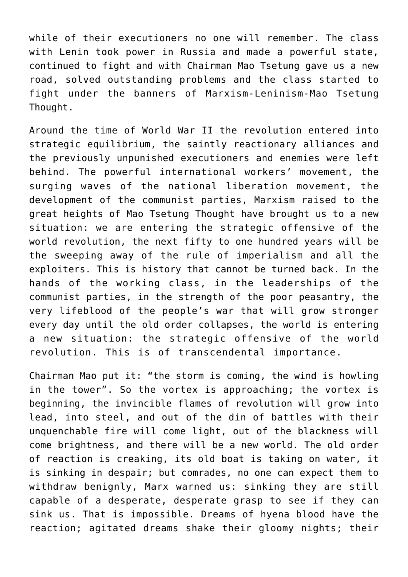while of their executioners no one will remember. The class with Lenin took power in Russia and made a powerful state, continued to fight and with Chairman Mao Tsetung gave us a new road, solved outstanding problems and the class started to fight under the banners of Marxism-Leninism-Mao Tsetung Thought.

Around the time of World War II the revolution entered into strategic equilibrium, the saintly reactionary alliances and the previously unpunished executioners and enemies were left behind. The powerful international workers' movement, the surging waves of the national liberation movement, the development of the communist parties, Marxism raised to the great heights of Mao Tsetung Thought have brought us to a new situation: we are entering the strategic offensive of the world revolution, the next fifty to one hundred years will be the sweeping away of the rule of imperialism and all the exploiters. This is history that cannot be turned back. In the hands of the working class, in the leaderships of the communist parties, in the strength of the poor peasantry, the very lifeblood of the people's war that will grow stronger every day until the old order collapses, the world is entering a new situation: the strategic offensive of the world revolution. This is of transcendental importance.

Chairman Mao put it: "the storm is coming, the wind is howling in the tower". So the vortex is approaching; the vortex is beginning, the invincible flames of revolution will grow into lead, into steel, and out of the din of battles with their unquenchable fire will come light, out of the blackness will come brightness, and there will be a new world. The old order of reaction is creaking, its old boat is taking on water, it is sinking in despair; but comrades, no one can expect them to withdraw benignly, Marx warned us: sinking they are still capable of a desperate, desperate grasp to see if they can sink us. That is impossible. Dreams of hyena blood have the reaction; agitated dreams shake their gloomy nights; their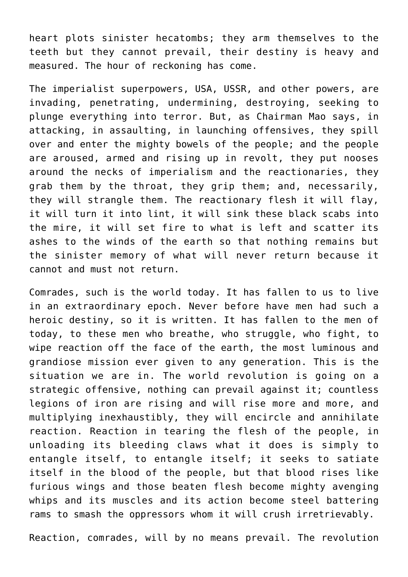heart plots sinister hecatombs; they arm themselves to the teeth but they cannot prevail, their destiny is heavy and measured. The hour of reckoning has come.

The imperialist superpowers, USA, USSR, and other powers, are invading, penetrating, undermining, destroying, seeking to plunge everything into terror. But, as Chairman Mao says, in attacking, in assaulting, in launching offensives, they spill over and enter the mighty bowels of the people; and the people are aroused, armed and rising up in revolt, they put nooses around the necks of imperialism and the reactionaries, they grab them by the throat, they grip them; and, necessarily, they will strangle them. The reactionary flesh it will flay, it will turn it into lint, it will sink these black scabs into the mire, it will set fire to what is left and scatter its ashes to the winds of the earth so that nothing remains but the sinister memory of what will never return because it cannot and must not return.

Comrades, such is the world today. It has fallen to us to live in an extraordinary epoch. Never before have men had such a heroic destiny, so it is written. It has fallen to the men of today, to these men who breathe, who struggle, who fight, to wipe reaction off the face of the earth, the most luminous and grandiose mission ever given to any generation. This is the situation we are in. The world revolution is going on a strategic offensive, nothing can prevail against it; countless legions of iron are rising and will rise more and more, and multiplying inexhaustibly, they will encircle and annihilate reaction. Reaction in tearing the flesh of the people, in unloading its bleeding claws what it does is simply to entangle itself, to entangle itself; it seeks to satiate itself in the blood of the people, but that blood rises like furious wings and those beaten flesh become mighty avenging whips and its muscles and its action become steel battering rams to smash the oppressors whom it will crush irretrievably.

Reaction, comrades, will by no means prevail. The revolution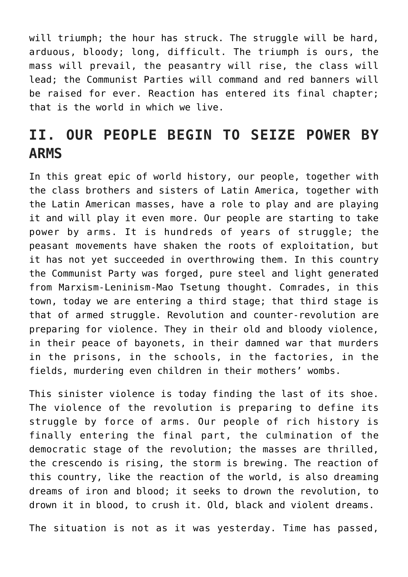will triumph; the hour has struck. The struggle will be hard, arduous, bloody; long, difficult. The triumph is ours, the mass will prevail, the peasantry will rise, the class will lead; the Communist Parties will command and red banners will be raised for ever. Reaction has entered its final chapter; that is the world in which we live.

#### **II. OUR PEOPLE BEGIN TO SEIZE POWER BY ARMS**

In this great epic of world history, our people, together with the class brothers and sisters of Latin America, together with the Latin American masses, have a role to play and are playing it and will play it even more. Our people are starting to take power by arms. It is hundreds of years of struggle; the peasant movements have shaken the roots of exploitation, but it has not yet succeeded in overthrowing them. In this country the Communist Party was forged, pure steel and light generated from Marxism-Leninism-Mao Tsetung thought. Comrades, in this town, today we are entering a third stage; that third stage is that of armed struggle. Revolution and counter-revolution are preparing for violence. They in their old and bloody violence, in their peace of bayonets, in their damned war that murders in the prisons, in the schools, in the factories, in the fields, murdering even children in their mothers' wombs.

This sinister violence is today finding the last of its shoe. The violence of the revolution is preparing to define its struggle by force of arms. Our people of rich history is finally entering the final part, the culmination of the democratic stage of the revolution; the masses are thrilled, the crescendo is rising, the storm is brewing. The reaction of this country, like the reaction of the world, is also dreaming dreams of iron and blood; it seeks to drown the revolution, to drown it in blood, to crush it. Old, black and violent dreams.

The situation is not as it was yesterday. Time has passed,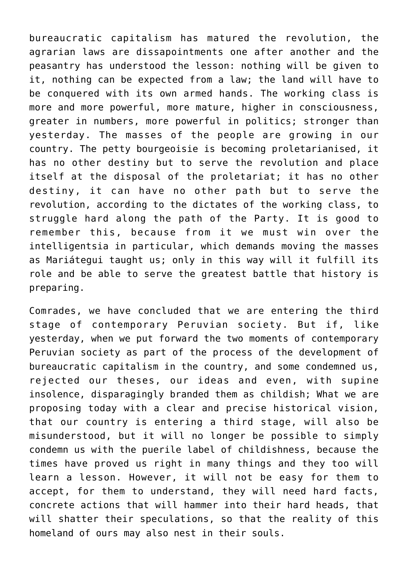bureaucratic capitalism has matured the revolution, the agrarian laws are dissapointments one after another and the peasantry has understood the lesson: nothing will be given to it, nothing can be expected from a law; the land will have to be conquered with its own armed hands. The working class is more and more powerful, more mature, higher in consciousness, greater in numbers, more powerful in politics; stronger than yesterday. The masses of the people are growing in our country. The petty bourgeoisie is becoming proletarianised, it has no other destiny but to serve the revolution and place itself at the disposal of the proletariat; it has no other destiny, it can have no other path but to serve the revolution, according to the dictates of the working class, to struggle hard along the path of the Party. It is good to remember this, because from it we must win over the intelligentsia in particular, which demands moving the masses as Mariátegui taught us; only in this way will it fulfill its role and be able to serve the greatest battle that history is preparing.

Comrades, we have concluded that we are entering the third stage of contemporary Peruvian society. But if, like yesterday, when we put forward the two moments of contemporary Peruvian society as part of the process of the development of bureaucratic capitalism in the country, and some condemned us, rejected our theses, our ideas and even, with supine insolence, disparagingly branded them as childish; What we are proposing today with a clear and precise historical vision, that our country is entering a third stage, will also be misunderstood, but it will no longer be possible to simply condemn us with the puerile label of childishness, because the times have proved us right in many things and they too will learn a lesson. However, it will not be easy for them to accept, for them to understand, they will need hard facts, concrete actions that will hammer into their hard heads, that will shatter their speculations, so that the reality of this homeland of ours may also nest in their souls.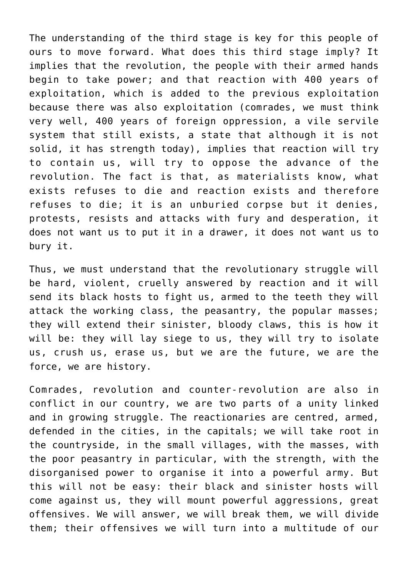The understanding of the third stage is key for this people of ours to move forward. What does this third stage imply? It implies that the revolution, the people with their armed hands begin to take power; and that reaction with 400 years of exploitation, which is added to the previous exploitation because there was also exploitation (comrades, we must think very well, 400 years of foreign oppression, a vile servile system that still exists, a state that although it is not solid, it has strength today), implies that reaction will try to contain us, will try to oppose the advance of the revolution. The fact is that, as materialists know, what exists refuses to die and reaction exists and therefore refuses to die; it is an unburied corpse but it denies, protests, resists and attacks with fury and desperation, it does not want us to put it in a drawer, it does not want us to bury it.

Thus, we must understand that the revolutionary struggle will be hard, violent, cruelly answered by reaction and it will send its black hosts to fight us, armed to the teeth they will attack the working class, the peasantry, the popular masses; they will extend their sinister, bloody claws, this is how it will be: they will lay siege to us, they will try to isolate us, crush us, erase us, but we are the future, we are the force, we are history.

Comrades, revolution and counter-revolution are also in conflict in our country, we are two parts of a unity linked and in growing struggle. The reactionaries are centred, armed, defended in the cities, in the capitals; we will take root in the countryside, in the small villages, with the masses, with the poor peasantry in particular, with the strength, with the disorganised power to organise it into a powerful army. But this will not be easy: their black and sinister hosts will come against us, they will mount powerful aggressions, great offensives. We will answer, we will break them, we will divide them; their offensives we will turn into a multitude of our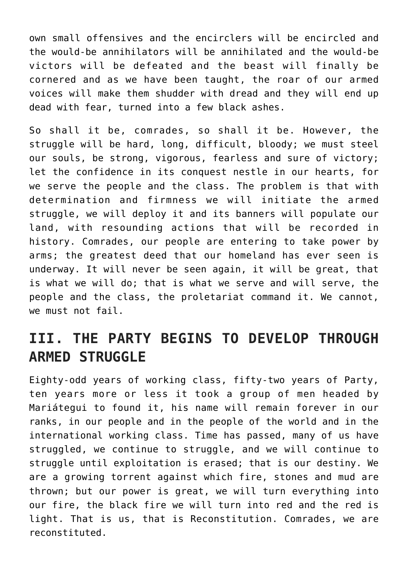own small offensives and the encirclers will be encircled and the would-be annihilators will be annihilated and the would-be victors will be defeated and the beast will finally be cornered and as we have been taught, the roar of our armed voices will make them shudder with dread and they will end up dead with fear, turned into a few black ashes.

So shall it be, comrades, so shall it be. However, the struggle will be hard, long, difficult, bloody; we must steel our souls, be strong, vigorous, fearless and sure of victory; let the confidence in its conquest nestle in our hearts, for we serve the people and the class. The problem is that with determination and firmness we will initiate the armed struggle, we will deploy it and its banners will populate our land, with resounding actions that will be recorded in history. Comrades, our people are entering to take power by arms; the greatest deed that our homeland has ever seen is underway. It will never be seen again, it will be great, that is what we will do; that is what we serve and will serve, the people and the class, the proletariat command it. We cannot, we must not fail.

#### **III. THE PARTY BEGINS TO DEVELOP THROUGH ARMED STRUGGLE**

Eighty-odd years of working class, fifty-two years of Party, ten years more or less it took a group of men headed by Mariátegui to found it, his name will remain forever in our ranks, in our people and in the people of the world and in the international working class. Time has passed, many of us have struggled, we continue to struggle, and we will continue to struggle until exploitation is erased; that is our destiny. We are a growing torrent against which fire, stones and mud are thrown; but our power is great, we will turn everything into our fire, the black fire we will turn into red and the red is light. That is us, that is Reconstitution. Comrades, we are reconstituted.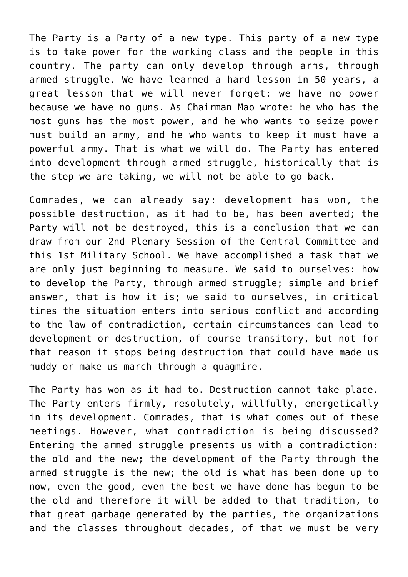The Party is a Party of a new type. This party of a new type is to take power for the working class and the people in this country. The party can only develop through arms, through armed struggle. We have learned a hard lesson in 50 years, a great lesson that we will never forget: we have no power because we have no guns. As Chairman Mao wrote: he who has the most guns has the most power, and he who wants to seize power must build an army, and he who wants to keep it must have a powerful army. That is what we will do. The Party has entered into development through armed struggle, historically that is the step we are taking, we will not be able to go back.

Comrades, we can already say: development has won, the possible destruction, as it had to be, has been averted; the Party will not be destroyed, this is a conclusion that we can draw from our 2nd Plenary Session of the Central Committee and this 1st Military School. We have accomplished a task that we are only just beginning to measure. We said to ourselves: how to develop the Party, through armed struggle; simple and brief answer, that is how it is; we said to ourselves, in critical times the situation enters into serious conflict and according to the law of contradiction, certain circumstances can lead to development or destruction, of course transitory, but not for that reason it stops being destruction that could have made us muddy or make us march through a quagmire.

The Party has won as it had to. Destruction cannot take place. The Party enters firmly, resolutely, willfully, energetically in its development. Comrades, that is what comes out of these meetings. However, what contradiction is being discussed? Entering the armed struggle presents us with a contradiction: the old and the new; the development of the Party through the armed struggle is the new; the old is what has been done up to now, even the good, even the best we have done has begun to be the old and therefore it will be added to that tradition, to that great garbage generated by the parties, the organizations and the classes throughout decades, of that we must be very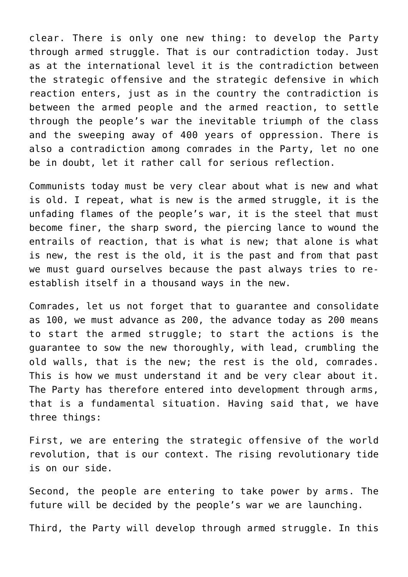clear. There is only one new thing: to develop the Party through armed struggle. That is our contradiction today. Just as at the international level it is the contradiction between the strategic offensive and the strategic defensive in which reaction enters, just as in the country the contradiction is between the armed people and the armed reaction, to settle through the people's war the inevitable triumph of the class and the sweeping away of 400 years of oppression. There is also a contradiction among comrades in the Party, let no one be in doubt, let it rather call for serious reflection.

Communists today must be very clear about what is new and what is old. I repeat, what is new is the armed struggle, it is the unfading flames of the people's war, it is the steel that must become finer, the sharp sword, the piercing lance to wound the entrails of reaction, that is what is new; that alone is what is new, the rest is the old, it is the past and from that past we must guard ourselves because the past always tries to reestablish itself in a thousand ways in the new.

Comrades, let us not forget that to guarantee and consolidate as 100, we must advance as 200, the advance today as 200 means to start the armed struggle; to start the actions is the guarantee to sow the new thoroughly, with lead, crumbling the old walls, that is the new; the rest is the old, comrades. This is how we must understand it and be very clear about it. The Party has therefore entered into development through arms, that is a fundamental situation. Having said that, we have three things:

First, we are entering the strategic offensive of the world revolution, that is our context. The rising revolutionary tide is on our side.

Second, the people are entering to take power by arms. The future will be decided by the people's war we are launching.

Third, the Party will develop through armed struggle. In this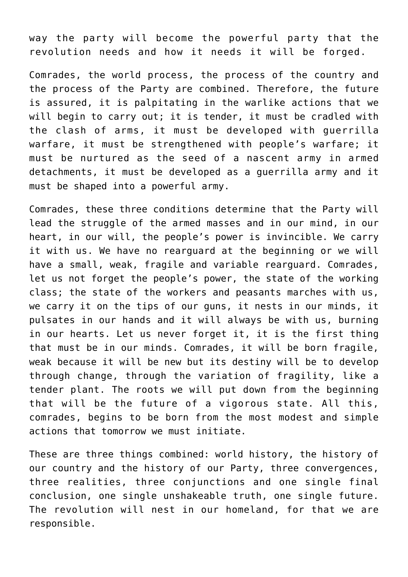way the party will become the powerful party that the revolution needs and how it needs it will be forged.

Comrades, the world process, the process of the country and the process of the Party are combined. Therefore, the future is assured, it is palpitating in the warlike actions that we will begin to carry out; it is tender, it must be cradled with the clash of arms, it must be developed with guerrilla warfare, it must be strengthened with people's warfare; it must be nurtured as the seed of a nascent army in armed detachments, it must be developed as a guerrilla army and it must be shaped into a powerful army.

Comrades, these three conditions determine that the Party will lead the struggle of the armed masses and in our mind, in our heart, in our will, the people's power is invincible. We carry it with us. We have no rearguard at the beginning or we will have a small, weak, fragile and variable rearguard. Comrades, let us not forget the people's power, the state of the working class; the state of the workers and peasants marches with us, we carry it on the tips of our guns, it nests in our minds, it pulsates in our hands and it will always be with us, burning in our hearts. Let us never forget it, it is the first thing that must be in our minds. Comrades, it will be born fragile, weak because it will be new but its destiny will be to develop through change, through the variation of fragility, like a tender plant. The roots we will put down from the beginning that will be the future of a vigorous state. All this, comrades, begins to be born from the most modest and simple actions that tomorrow we must initiate.

These are three things combined: world history, the history of our country and the history of our Party, three convergences, three realities, three conjunctions and one single final conclusion, one single unshakeable truth, one single future. The revolution will nest in our homeland, for that we are responsible.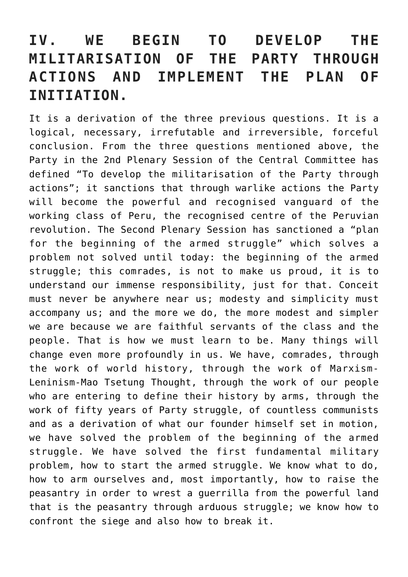#### **IV. WE BEGIN TO DEVELOP THE MILITARISATION OF THE PARTY THROUGH ACTIONS AND IMPLEMENT THE PLAN OF INITIATION.**

It is a derivation of the three previous questions. It is a logical, necessary, irrefutable and irreversible, forceful conclusion. From the three questions mentioned above, the Party in the 2nd Plenary Session of the Central Committee has defined "To develop the militarisation of the Party through actions"; it sanctions that through warlike actions the Party will become the powerful and recognised vanguard of the working class of Peru, the recognised centre of the Peruvian revolution. The Second Plenary Session has sanctioned a "plan for the beginning of the armed struggle" which solves a problem not solved until today: the beginning of the armed struggle; this comrades, is not to make us proud, it is to understand our immense responsibility, just for that. Conceit must never be anywhere near us; modesty and simplicity must accompany us; and the more we do, the more modest and simpler we are because we are faithful servants of the class and the people. That is how we must learn to be. Many things will change even more profoundly in us. We have, comrades, through the work of world history, through the work of Marxism-Leninism-Mao Tsetung Thought, through the work of our people who are entering to define their history by arms, through the work of fifty years of Party struggle, of countless communists and as a derivation of what our founder himself set in motion, we have solved the problem of the beginning of the armed struggle. We have solved the first fundamental military problem, how to start the armed struggle. We know what to do, how to arm ourselves and, most importantly, how to raise the peasantry in order to wrest a guerrilla from the powerful land that is the peasantry through arduous struggle; we know how to confront the siege and also how to break it.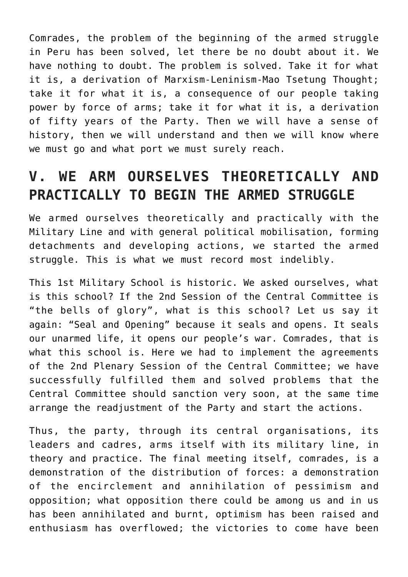Comrades, the problem of the beginning of the armed struggle in Peru has been solved, let there be no doubt about it. We have nothing to doubt. The problem is solved. Take it for what it is, a derivation of Marxism-Leninism-Mao Tsetung Thought; take it for what it is, a consequence of our people taking power by force of arms; take it for what it is, a derivation of fifty years of the Party. Then we will have a sense of history, then we will understand and then we will know where we must go and what port we must surely reach.

#### **V. WE ARM OURSELVES THEORETICALLY AND PRACTICALLY TO BEGIN THE ARMED STRUGGLE**

We armed ourselves theoretically and practically with the Military Line and with general political mobilisation, forming detachments and developing actions, we started the armed struggle. This is what we must record most indelibly.

This 1st Military School is historic. We asked ourselves, what is this school? If the 2nd Session of the Central Committee is "the bells of glory", what is this school? Let us say it again: "Seal and Opening" because it seals and opens. It seals our unarmed life, it opens our people's war. Comrades, that is what this school is. Here we had to implement the agreements of the 2nd Plenary Session of the Central Committee; we have successfully fulfilled them and solved problems that the Central Committee should sanction very soon, at the same time arrange the readjustment of the Party and start the actions.

Thus, the party, through its central organisations, its leaders and cadres, arms itself with its military line, in theory and practice. The final meeting itself, comrades, is a demonstration of the distribution of forces: a demonstration of the encirclement and annihilation of pessimism and opposition; what opposition there could be among us and in us has been annihilated and burnt, optimism has been raised and enthusiasm has overflowed; the victories to come have been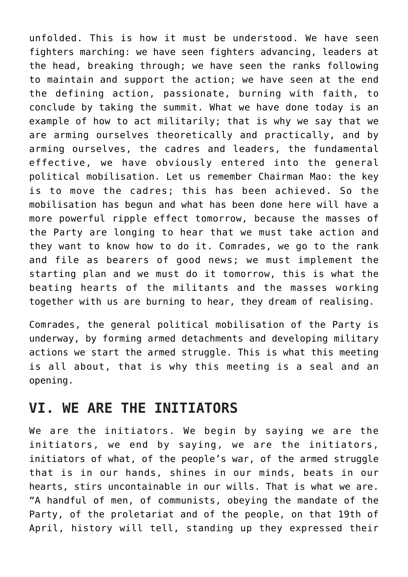unfolded. This is how it must be understood. We have seen fighters marching: we have seen fighters advancing, leaders at the head, breaking through; we have seen the ranks following to maintain and support the action; we have seen at the end the defining action, passionate, burning with faith, to conclude by taking the summit. What we have done today is an example of how to act militarily; that is why we say that we are arming ourselves theoretically and practically, and by arming ourselves, the cadres and leaders, the fundamental effective, we have obviously entered into the general political mobilisation. Let us remember Chairman Mao: the key is to move the cadres; this has been achieved. So the mobilisation has begun and what has been done here will have a more powerful ripple effect tomorrow, because the masses of the Party are longing to hear that we must take action and they want to know how to do it. Comrades, we go to the rank and file as bearers of good news; we must implement the starting plan and we must do it tomorrow, this is what the beating hearts of the militants and the masses working together with us are burning to hear, they dream of realising.

Comrades, the general political mobilisation of the Party is underway, by forming armed detachments and developing military actions we start the armed struggle. This is what this meeting is all about, that is why this meeting is a seal and an opening.

#### **VI. WE ARE THE INITIATORS**

We are the initiators. We begin by saying we are the initiators, we end by saying, we are the initiators, initiators of what, of the people's war, of the armed struggle that is in our hands, shines in our minds, beats in our hearts, stirs uncontainable in our wills. That is what we are. "A handful of men, of communists, obeying the mandate of the Party, of the proletariat and of the people, on that 19th of April, history will tell, standing up they expressed their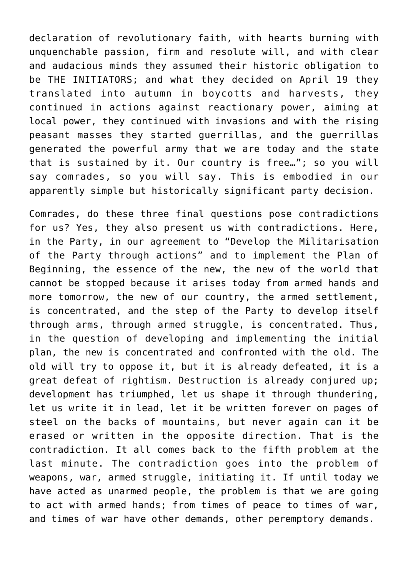declaration of revolutionary faith, with hearts burning with unquenchable passion, firm and resolute will, and with clear and audacious minds they assumed their historic obligation to be THE INITIATORS; and what they decided on April 19 they translated into autumn in boycotts and harvests, they continued in actions against reactionary power, aiming at local power, they continued with invasions and with the rising peasant masses they started guerrillas, and the guerrillas generated the powerful army that we are today and the state that is sustained by it. Our country is free…"; so you will say comrades, so you will say. This is embodied in our apparently simple but historically significant party decision.

Comrades, do these three final questions pose contradictions for us? Yes, they also present us with contradictions. Here, in the Party, in our agreement to "Develop the Militarisation of the Party through actions" and to implement the Plan of Beginning, the essence of the new, the new of the world that cannot be stopped because it arises today from armed hands and more tomorrow, the new of our country, the armed settlement, is concentrated, and the step of the Party to develop itself through arms, through armed struggle, is concentrated. Thus, in the question of developing and implementing the initial plan, the new is concentrated and confronted with the old. The old will try to oppose it, but it is already defeated, it is a great defeat of rightism. Destruction is already conjured up; development has triumphed, let us shape it through thundering, let us write it in lead, let it be written forever on pages of steel on the backs of mountains, but never again can it be erased or written in the opposite direction. That is the contradiction. It all comes back to the fifth problem at the last minute. The contradiction goes into the problem of weapons, war, armed struggle, initiating it. If until today we have acted as unarmed people, the problem is that we are going to act with armed hands; from times of peace to times of war, and times of war have other demands, other peremptory demands.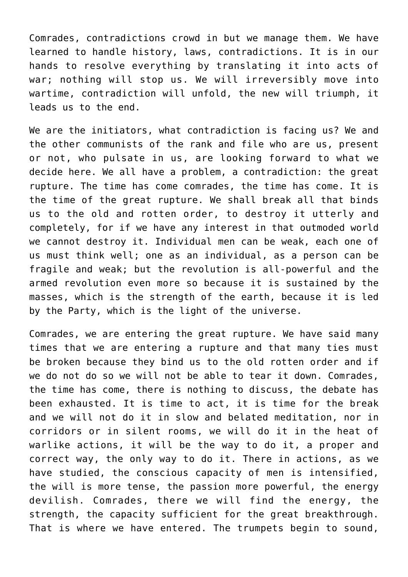Comrades, contradictions crowd in but we manage them. We have learned to handle history, laws, contradictions. It is in our hands to resolve everything by translating it into acts of war; nothing will stop us. We will irreversibly move into wartime, contradiction will unfold, the new will triumph, it leads us to the end.

We are the initiators, what contradiction is facing us? We and the other communists of the rank and file who are us, present or not, who pulsate in us, are looking forward to what we decide here. We all have a problem, a contradiction: the great rupture. The time has come comrades, the time has come. It is the time of the great rupture. We shall break all that binds us to the old and rotten order, to destroy it utterly and completely, for if we have any interest in that outmoded world we cannot destroy it. Individual men can be weak, each one of us must think well; one as an individual, as a person can be fragile and weak; but the revolution is all-powerful and the armed revolution even more so because it is sustained by the masses, which is the strength of the earth, because it is led by the Party, which is the light of the universe.

Comrades, we are entering the great rupture. We have said many times that we are entering a rupture and that many ties must be broken because they bind us to the old rotten order and if we do not do so we will not be able to tear it down. Comrades, the time has come, there is nothing to discuss, the debate has been exhausted. It is time to act, it is time for the break and we will not do it in slow and belated meditation, nor in corridors or in silent rooms, we will do it in the heat of warlike actions, it will be the way to do it, a proper and correct way, the only way to do it. There in actions, as we have studied, the conscious capacity of men is intensified, the will is more tense, the passion more powerful, the energy devilish. Comrades, there we will find the energy, the strength, the capacity sufficient for the great breakthrough. That is where we have entered. The trumpets begin to sound,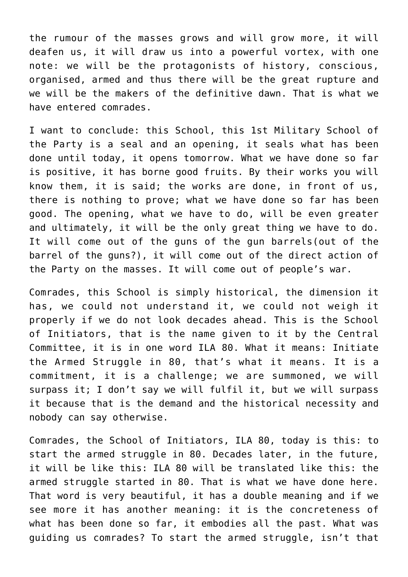the rumour of the masses grows and will grow more, it will deafen us, it will draw us into a powerful vortex, with one note: we will be the protagonists of history, conscious, organised, armed and thus there will be the great rupture and we will be the makers of the definitive dawn. That is what we have entered comrades.

I want to conclude: this School, this 1st Military School of the Party is a seal and an opening, it seals what has been done until today, it opens tomorrow. What we have done so far is positive, it has borne good fruits. By their works you will know them, it is said; the works are done, in front of us, there is nothing to prove; what we have done so far has been good. The opening, what we have to do, will be even greater and ultimately, it will be the only great thing we have to do. It will come out of the guns of the gun barrels(out of the barrel of the guns?), it will come out of the direct action of the Party on the masses. It will come out of people's war.

Comrades, this School is simply historical, the dimension it has, we could not understand it, we could not weigh it properly if we do not look decades ahead. This is the School of Initiators, that is the name given to it by the Central Committee, it is in one word ILA 80. What it means: Initiate the Armed Struggle in 80, that's what it means. It is a commitment, it is a challenge; we are summoned, we will surpass it; I don't say we will fulfil it, but we will surpass it because that is the demand and the historical necessity and nobody can say otherwise.

Comrades, the School of Initiators, ILA 80, today is this: to start the armed struggle in 80. Decades later, in the future, it will be like this: ILA 80 will be translated like this: the armed struggle started in 80. That is what we have done here. That word is very beautiful, it has a double meaning and if we see more it has another meaning: it is the concreteness of what has been done so far, it embodies all the past. What was guiding us comrades? To start the armed struggle, isn't that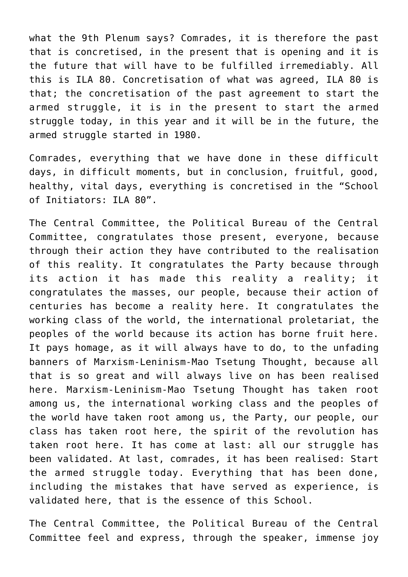what the 9th Plenum says? Comrades, it is therefore the past that is concretised, in the present that is opening and it is the future that will have to be fulfilled irremediably. All this is ILA 80. Concretisation of what was agreed, ILA 80 is that; the concretisation of the past agreement to start the armed struggle, it is in the present to start the armed struggle today, in this year and it will be in the future, the armed struggle started in 1980.

Comrades, everything that we have done in these difficult days, in difficult moments, but in conclusion, fruitful, good, healthy, vital days, everything is concretised in the "School of Initiators: ILA 80".

The Central Committee, the Political Bureau of the Central Committee, congratulates those present, everyone, because through their action they have contributed to the realisation of this reality. It congratulates the Party because through its action it has made this reality a reality; it congratulates the masses, our people, because their action of centuries has become a reality here. It congratulates the working class of the world, the international proletariat, the peoples of the world because its action has borne fruit here. It pays homage, as it will always have to do, to the unfading banners of Marxism-Leninism-Mao Tsetung Thought, because all that is so great and will always live on has been realised here. Marxism-Leninism-Mao Tsetung Thought has taken root among us, the international working class and the peoples of the world have taken root among us, the Party, our people, our class has taken root here, the spirit of the revolution has taken root here. It has come at last: all our struggle has been validated. At last, comrades, it has been realised: Start the armed struggle today. Everything that has been done, including the mistakes that have served as experience, is validated here, that is the essence of this School.

The Central Committee, the Political Bureau of the Central Committee feel and express, through the speaker, immense joy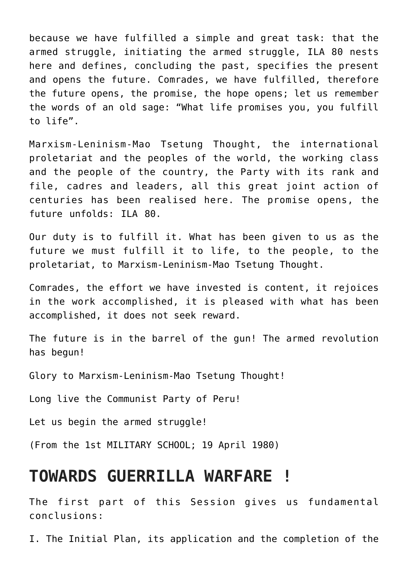because we have fulfilled a simple and great task: that the armed struggle, initiating the armed struggle, ILA 80 nests here and defines, concluding the past, specifies the present and opens the future. Comrades, we have fulfilled, therefore the future opens, the promise, the hope opens; let us remember the words of an old sage: "What life promises you, you fulfill to life".

Marxism-Leninism-Mao Tsetung Thought, the international proletariat and the peoples of the world, the working class and the people of the country, the Party with its rank and file, cadres and leaders, all this great joint action of centuries has been realised here. The promise opens, the future unfolds: ILA 80.

Our duty is to fulfill it. What has been given to us as the future we must fulfill it to life, to the people, to the proletariat, to Marxism-Leninism-Mao Tsetung Thought.

Comrades, the effort we have invested is content, it rejoices in the work accomplished, it is pleased with what has been accomplished, it does not seek reward.

The future is in the barrel of the gun! The armed revolution has begun!

Glory to Marxism-Leninism-Mao Tsetung Thought!

Long live the Communist Party of Peru!

Let us begin the armed struggle!

(From the 1st MILITARY SCHOOL; 19 April 1980)

#### **TOWARDS GUERRILLA WARFARE !**

The first part of this Session gives us fundamental conclusions:

I. The Initial Plan, its application and the completion of the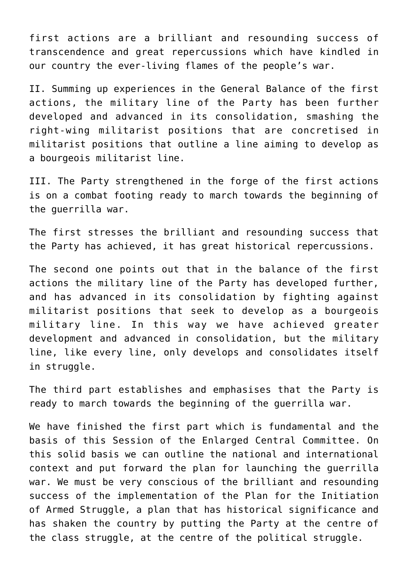first actions are a brilliant and resounding success of transcendence and great repercussions which have kindled in our country the ever-living flames of the people's war.

II. Summing up experiences in the General Balance of the first actions, the military line of the Party has been further developed and advanced in its consolidation, smashing the right-wing militarist positions that are concretised in militarist positions that outline a line aiming to develop as a bourgeois militarist line.

III. The Party strengthened in the forge of the first actions is on a combat footing ready to march towards the beginning of the guerrilla war.

The first stresses the brilliant and resounding success that the Party has achieved, it has great historical repercussions.

The second one points out that in the balance of the first actions the military line of the Party has developed further, and has advanced in its consolidation by fighting against militarist positions that seek to develop as a bourgeois military line. In this way we have achieved greater development and advanced in consolidation, but the military line, like every line, only develops and consolidates itself in struggle.

The third part establishes and emphasises that the Party is ready to march towards the beginning of the guerrilla war.

We have finished the first part which is fundamental and the basis of this Session of the Enlarged Central Committee. On this solid basis we can outline the national and international context and put forward the plan for launching the guerrilla war. We must be very conscious of the brilliant and resounding success of the implementation of the Plan for the Initiation of Armed Struggle, a plan that has historical significance and has shaken the country by putting the Party at the centre of the class struggle, at the centre of the political struggle.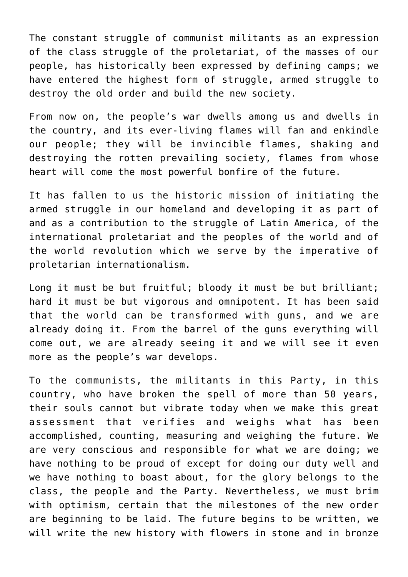The constant struggle of communist militants as an expression of the class struggle of the proletariat, of the masses of our people, has historically been expressed by defining camps; we have entered the highest form of struggle, armed struggle to destroy the old order and build the new society.

From now on, the people's war dwells among us and dwells in the country, and its ever-living flames will fan and enkindle our people; they will be invincible flames, shaking and destroying the rotten prevailing society, flames from whose heart will come the most powerful bonfire of the future.

It has fallen to us the historic mission of initiating the armed struggle in our homeland and developing it as part of and as a contribution to the struggle of Latin America, of the international proletariat and the peoples of the world and of the world revolution which we serve by the imperative of proletarian internationalism.

Long it must be but fruitful; bloody it must be but brilliant; hard it must be but vigorous and omnipotent. It has been said that the world can be transformed with guns, and we are already doing it. From the barrel of the guns everything will come out, we are already seeing it and we will see it even more as the people's war develops.

To the communists, the militants in this Party, in this country, who have broken the spell of more than 50 years, their souls cannot but vibrate today when we make this great assessment that verifies and weighs what has been accomplished, counting, measuring and weighing the future. We are very conscious and responsible for what we are doing; we have nothing to be proud of except for doing our duty well and we have nothing to boast about, for the glory belongs to the class, the people and the Party. Nevertheless, we must brim with optimism, certain that the milestones of the new order are beginning to be laid. The future begins to be written, we will write the new history with flowers in stone and in bronze